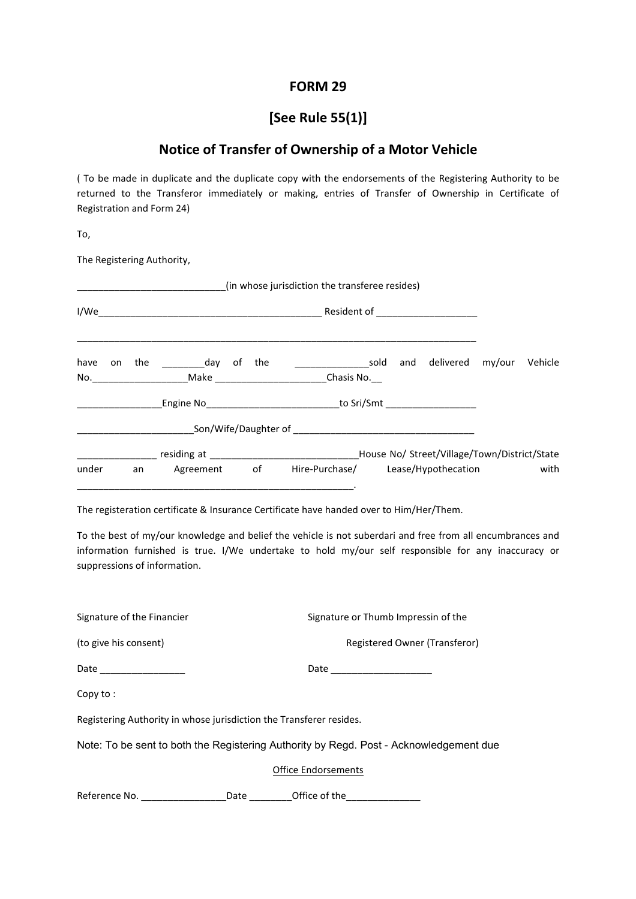## **FORM 29**

## **[See Rule 55(1)]**

## **Notice of Transfer of Ownership of a Motor Vehicle**

( To be made in duplicate and the duplicate copy with the endorsements of the Registering Authority to be returned to the Transferor immediately or making, entries of Transfer of Ownership in Certificate of Registration and Form 24)

To,

The Registering Authority,

| (in whose jurisdiction the transferee resides) |                                                                           |    |               |    |     |                                                                                                                   |  |     |                                              |         |
|------------------------------------------------|---------------------------------------------------------------------------|----|---------------|----|-----|-------------------------------------------------------------------------------------------------------------------|--|-----|----------------------------------------------|---------|
| I/We                                           | Resident of _____________________<br><u> 1990 - Jan Barbara (j. 1900)</u> |    |               |    |     |                                                                                                                   |  |     |                                              |         |
| have                                           |                                                                           |    | on the day of |    | the | $\overline{\phantom{a}}$ sold<br>No. _________________________Make ________________________________Chasis No. ___ |  | and | delivered my/our                             | Vehicle |
| <u>and the state</u>                           |                                                                           |    |               |    |     | Engine No Sri/Smt                                                                                                 |  |     |                                              |         |
|                                                |                                                                           |    |               |    |     |                                                                                                                   |  |     |                                              |         |
|                                                |                                                                           |    |               |    |     |                                                                                                                   |  |     | House No/ Street/Village/Town/District/State |         |
| under                                          |                                                                           | an | Agreement     | of |     | Hire-Purchase/ Lease/Hypothecation                                                                                |  |     |                                              | with    |

The registeration certificate & Insurance Certificate have handed over to Him/Her/Them.

To the best of my/our knowledge and belief the vehicle is not suberdari and free from all encumbrances and information furnished is true. I/We undertake to hold my/our self responsible for any inaccuracy or suppressions of information.

| Signature of the Financier                                                             |                            | Signature or Thumb Impressin of the |  |  |  |  |  |  |  |
|----------------------------------------------------------------------------------------|----------------------------|-------------------------------------|--|--|--|--|--|--|--|
| (to give his consent)                                                                  |                            | Registered Owner (Transferor)       |  |  |  |  |  |  |  |
| Date _________________                                                                 |                            |                                     |  |  |  |  |  |  |  |
| Copy to:                                                                               |                            |                                     |  |  |  |  |  |  |  |
| Registering Authority in whose jurisdiction the Transferer resides.                    |                            |                                     |  |  |  |  |  |  |  |
| Note: To be sent to both the Registering Authority by Regd. Post - Acknowledgement due |                            |                                     |  |  |  |  |  |  |  |
|                                                                                        | <b>Office Endorsements</b> |                                     |  |  |  |  |  |  |  |
| Reference No.                                                                          | Date                       | Office of the                       |  |  |  |  |  |  |  |